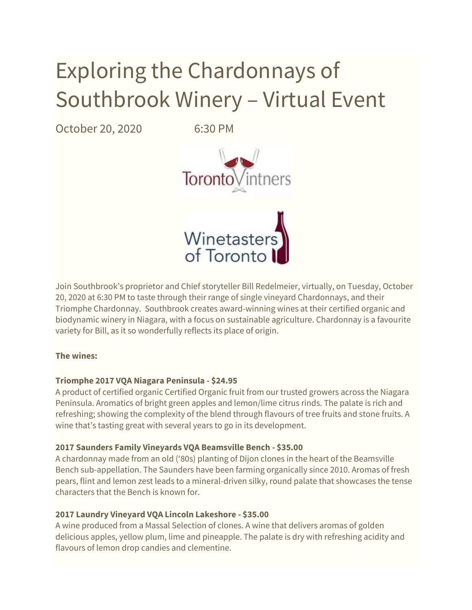# Exploring the Chardonnays of Southbrook Winery – Virtual Event

October 20, 2020 6:30 PM





Join Southbrook's proprietor and Chief storyteller Bill Redelmeier, virtually, on Tuesday, October 20, 2020 at 6:30 PM to taste through their range of single vineyard Chardonnays, and their Triomphe Chardonnay. Southbrook creates award-winning wines at their certified organic and biodynamic winery in Niagara, with a focus on sustainable agriculture. Chardonnay is a favourite variety for Bill, as it so wonderfully reflects its place of origin.

## **The wines:**

## **Triomphe 2017 VQA Niagara Peninsula - \$24.95**

A product of certified organic Certified Organic fruit from our trusted growers across the Niagara Peninsula. Aromatics of bright green apples and lemon/lime citrus rinds. The palate is rich and refreshing; showing the complexity of the blend through flavours of tree fruits and stone fruits. A wine that's tasting great with several years to go in its development.

## **2017 Saunders Family Vineyards VQA Beamsville Bench - \$35.00**

A chardonnay made from an old ('80s) planting of Dijon clones in the heart of the Beamsville Bench sub-appellation. The Saunders have been farming organically since 2010. Aromas of fresh pears, flint and lemon zest leads to a mineral-driven silky, round palate that showcases the tense characters that the Bench is known for.

## **2017 Laundry Vineyard VQA Lincoln Lakeshore - \$35.00**

A wine produced from a Massal Selection of clones. A wine that delivers aromas of golden delicious apples, yellow plum, lime and pineapple. The palate is dry with refreshing acidity and flavours of lemon drop candies and clementine.